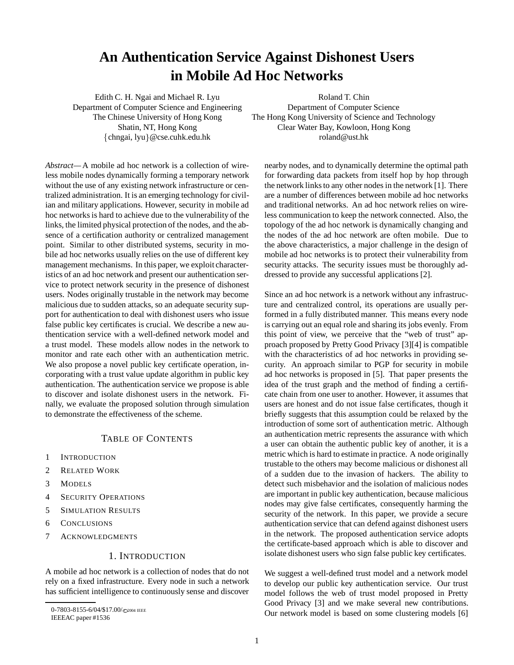# **An Authentication Service Against Dishonest Users in Mobile Ad Hoc Networks**

Edith C. H. Ngai and Michael R. Lyu Roland T. Chin Department of Computer Science and Engineering Department of Computer Science chngai, lyu @cse.cuhk.edu.hk roland@ust.hk

The Chinese University of Hong Kong The Hong Kong University of Science and Technology Shatin, NT, Hong Kong Clear Water Bay, Kowloon, Hong Kong

*Abstract—*A mobile ad hoc network is a collection of wireless mobile nodes dynamically forming a temporary network without the use of any existing network infrastructure or centralized administration. It is an emerging technology for civilian and military applications. However, security in mobile ad hoc networks is hard to achieve due to the vulnerability of the links, the limited physical protection of the nodes, and the absence of a certification authority or centralized management point. Similar to other distributed systems, security in mobile ad hoc networks usually relies on the use of different key management mechanisms. In this paper, we exploit characteristics of an ad hoc network and present our authentication service to protect network security in the presence of dishonest users. Nodes originally trustable in the network may become malicious due to sudden attacks, so an adequate security support for authentication to deal with dishonest users who issue false public key certificates is crucial. We describe a new authentication service with a well-defined network model and a trust model. These models allow nodes in the network to monitor and rate each other with an authentication metric. We also propose a novel public key certificate operation, incorporating with a trust value update algorithm in public key authentication. The authentication service we propose is able to discover and isolate dishonest users in the network. Finally, we evaluate the proposed solution through simulation to demonstrate the effectiveness of the scheme.

# TABLE OF CONTENTS

- 1 INTRODUCTION
- 2 RELATED WORK
- 3 MODELS
- 4 SECURITY OPERATIONS
- 5 SIMULATION RESULTS
- 6 CONCLUSIONS
- 7 ACKNOWLEDGMENTS

# 1. INTRODUCTION

A mobile ad hoc network is a collection of nodes that do not rely on a fixed infrastructure. Every node in such a network has sufficient intelligence to continuously sense and discover nearby nodes, and to dynamically determine the optimal path for forwarding data packets from itself hop by hop through the network links to any other nodes in the network  $[1]$ . There are a number of differences between mobile ad hoc networks and traditional networks. An ad hoc network relies on wireless communication to keep the network connected. Also, the topology of the ad hoc network is dynamically changing and the nodes of the ad hoc network are often mobile. Due to the above characteristics, a major challenge in the design of mobile ad hoc networks is to protect their vulnerability from security attacks. The security issues must be thoroughly addressed to provide any successful applications [2].

Since an ad hoc network is a network without any infrastructure and centralized control, its operations are usually performed in a fully distributed manner. This means every node is carrying out an equal role and sharing its jobs evenly. From this point of view, we perceive that the "web of trust" approach proposed by Pretty Good Privacy [3][4] is compatible with the characteristics of ad hoc networks in providing security. An approach similar to PGP for security in mobile ad hoc networks is proposed in [5]. That paper presents the idea of the trust graph and the method of finding a certificate chain from one user to another. However, it assumes that users are honest and do not issue false certificates, though it briefly suggests that this assumption could be relaxed by the introduction of some sort of authentication metric. Although an authentication metric represents the assurance with which a user can obtain the authentic public key of another, it is a metric which is hard to estimate in practice. A node originally trustable to the others may become malicious or dishonest all of a sudden due to the invasion of hackers. The ability to detect such misbehavior and the isolation of malicious nodes are important in public key authentication, because malicious nodes may give false certificates, consequently harming the security of the network. In this paper, we provide a secure authentication service that can defend against dishonest users in the network. The proposed authentication service adopts the certificate-based approach which is able to discover and isolate dishonest users who sign false public key certificates.

We suggest a well-defined trust model and a network model to develop our public key authentication service. Our trust model follows the web of trust model proposed in Pretty Good Privacy [3] and we make several new contributions. Our network model is based on some clustering models [6]

<sup>0-7803-8155-6/04/\$17.00/&</sup>lt;sub>©2004</sub> IEEE IEEEAC paper #1536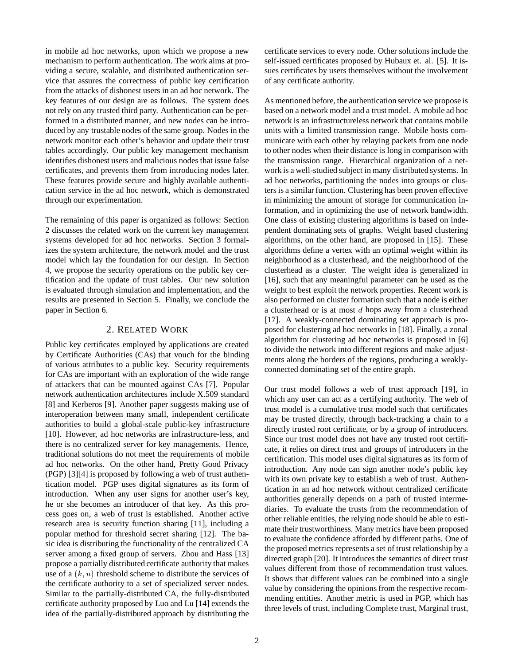in mobile ad hoc networks, upon which we propose a new mechanism to perform authentication. The work aims at providing a secure, scalable, and distributed authentication service that assures the correctness of public key certification from the attacks of dishonest users in an ad hoc network. The key features of our design are as follows. The system does not rely on any trusted third party. Authentication can be performed in a distributed manner, and new nodes can be introduced by any trustable nodes of the same group. Nodes in the network monitor each other's behavior and update their trust tables accordingly. Our public key management mechanism identifies dishonest users and malicious nodes that issue false certificates, and prevents them from introducing nodes later. These features provide secure and highly available authentication service in the ad hoc network, which is demonstrated through our experimentation.

The remaining of this paper is organized as follows: Section 2 discusses the related work on the current key management systems developed for ad hoc networks. Section 3 formalizes the system architecture, the network model and the trust model which lay the foundation for our design. In Section 4, we propose the security operations on the public key certification and the update of trust tables. Our new solution is evaluated through simulation and implementation, and the results are presented in Section 5. Finally, we conclude the paper in Section 6.

# 2. RELATED WORK

Public key certificates employed by applications are created by Certificate Authorities (CAs) that vouch for the binding of various attributes to a public key. Security requirements for CAs are important with an exploration of the wide range of attackers that can be mounted against CAs [7]. Popular network authentication architectures include X.509 standard [8] and Kerberos [9]. Another paper suggests making use of interoperation between many small, independent certificate authorities to build a global-scale public-key infrastructure [10]. However, ad hoc networks are infrastructure-less, and there is no centralized server for key managements. Hence, traditional solutions do not meet the requirements of mobile ad hoc networks. On the other hand, Pretty Good Privacy (PGP) [3][4] is proposed by following a web of trust authentication model. PGP uses digital signatures as its form of introduction. When any user signs for another user's key, he or she becomes an introducer of that key. As this process goes on, a web of trust is established. Another active research area is security function sharing [11], including a popular method for threshold secret sharing [12]. The basic idea is distributing the functionality of the centralized CA server among a fixed group of servers. Zhou and Hass [13] propose a partially distributed certificate authority that makes use of a  $(k, n)$  threshold scheme to distribute the services of the certificate authority to a set of specialized server nodes. Similar to the partially-distributed CA, the fully-distributed certificate authority proposed by Luo and Lu [14] extends the idea of the partially-distributed approach by distributing the certificate services to every node. Other solutions include the self-issued certificates proposed by Hubaux et. al. [5]. It issues certificates by users themselves without the involvement of any certificate authority.

As mentioned before, the authentication service we propose is based on a network model and a trust model. A mobile ad hoc network is an infrastructureless network that contains mobile units with a limited transmission range. Mobile hosts communicate with each other by relaying packets from one node to other nodes when their distance is long in comparison with the transmission range. Hierarchical organization of a network is a well-studied subject in many distributed systems. In ad hoc networks, partitioning the nodes into groups or clusters is a similar function. Clustering has been proven effective in minimizing the amount of storage for communication information, and in optimizing the use of network bandwidth. One class of existing clustering algorithms is based on independent dominating sets of graphs. Weight based clustering algorithms, on the other hand, are proposed in [15]. These algorithms define a vertex with an optimal weight within its neighborhood as a clusterhead, and the neighborhood of the clusterhead as a cluster. The weight idea is generalized in [16], such that any meaningful parameter can be used as the weight to best exploit the network properties. Recent work is also performed on cluster formation such that a node is either a clusterhead or is at most  $d$  hops away from a clusterhead [17]. A weakly-connected dominating set approach is proposed for clustering ad hoc networks in [18]. Finally, a zonal algorithm for clustering ad hoc networks is proposed in [6] to divide the network into different regions and make adjustments along the borders of the regions, producing a weaklyconnected dominating set of the entire graph.

Our trust model follows a web of trust approach [19], in which any user can act as a certifying authority. The web of trust model is a cumulative trust model such that certificates may be trusted directly, through back-tracking a chain to a directly trusted root certificate, or by a group of introducers. Since our trust model does not have any trusted root certificate, it relies on direct trust and groups of introducers in the certification. This model uses digital signatures as its form of introduction. Any node can sign another node's public key with its own private key to establish a web of trust. Authentication in an ad hoc network without centralized certificate authorities generally depends on a path of trusted intermediaries. To evaluate the trusts from the recommendation of other reliable entities, the relying node should be able to estimate their trustworthiness. Many metrics have been proposed to evaluate the confidence afforded by different paths. One of the proposed metrics represents a set of trust relationship by a directed graph [20]. It introduces the semantics of direct trust values different from those of recommendation trust values. It shows that different values can be combined into a single value by considering the opinions from the respective recommending entities. Another metric is used in PGP, which has three levels of trust, including Complete trust, Marginal trust,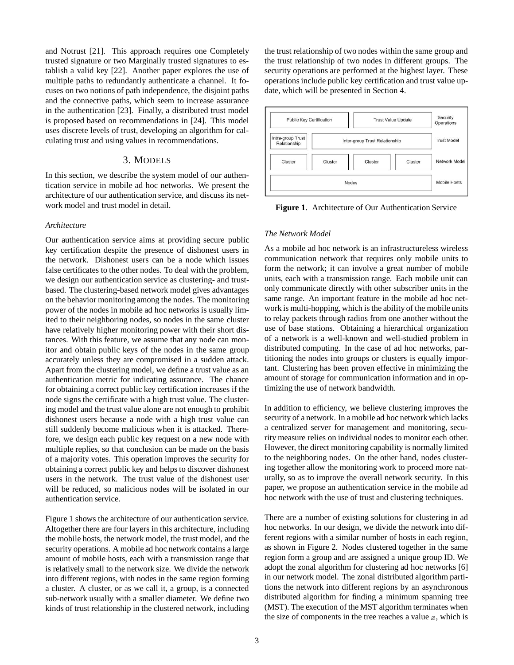and Notrust [21]. This approach requires one Completely trusted signature or two Marginally trusted signatures to establish a valid key [22]. Another paper explores the use of multiple paths to redundantly authenticate a channel. It focuses on two notions of path independence, the disjoint paths and the connective paths, which seem to increase assurance in the authentication [23]. Finally, a distributed trust model is proposed based on recommendations in [24]. This model uses discrete levels of trust, developing an algorithm for calculating trust and using values in recommendations.

# 3. MODELS

In this section, we describe the system model of our authentication service in mobile ad hoc networks. We present the architecture of our authentication service, and discuss its network model and trust model in detail.

### *Architecture*

Our authentication service aims at providing secure public key certification despite the presence of dishonest users in the network. Dishonest users can be a node which issues false certificates to the other nodes. To deal with the problem, we design our authentication service as clustering- and trustbased. The clustering-based network model gives advantages on the behavior monitoring among the nodes. The monitoring power of the nodes in mobile ad hoc networks is usually limited to their neighboring nodes, so nodes in the same cluster have relatively higher monitoring power with their short distances. With this feature, we assume that any node can monitor and obtain public keys of the nodes in the same group accurately unless they are compromised in a sudden attack. Apart from the clustering model, we define a trust value as an authentication metric for indicating assurance. The chance for obtaining a correct public key certification increases if the node signs the certificate with a high trust value. The clustering model and the trust value alone are not enough to prohibit dishonest users because a node with a high trust value can still suddenly become malicious when it is attacked. Therefore, we design each public key request on a new node with multiple replies, so that conclusion can be made on the basis of a majority votes. This operation improves the security for obtaining a correct public key and helps to discover dishonest users in the network. The trust value of the dishonest user will be reduced, so malicious nodes will be isolated in our authentication service.

Figure 1 shows the architecture of our authentication service. Altogether there are four layers in this architecture, including the mobile hosts, the network model, the trust model, and the security operations. A mobile ad hoc network contains a large amount of mobile hosts, each with a transmission range that is relatively small to the network size. We divide the network into different regions, with nodes in the same region forming a cluster. A cluster, or as we call it, a group, is a connected sub-network usually with a smaller diameter. We define two kinds of trust relationship in the clustered network, including the trust relationship of two nodes within the same group and the trust relationship of two nodes in different groups. The security operations are performed at the highest layer. These operations include public key certification and trust value update, which will be presented in Section 4.



**Figure 1**. Architecture of Our Authentication Service

## *The Network Model*

As a mobile ad hoc network is an infrastructureless wireless communication network that requires only mobile units to form the network; it can involve a great number of mobile units, each with a transmission range. Each mobile unit can only communicate directly with other subscriber units in the same range. An important feature in the mobile ad hoc network is multi-hopping, which is the ability of the mobile units to relay packets through radios from one another without the use of base stations. Obtaining a hierarchical organization of a network is a well-known and well-studied problem in distributed computing. In the case of ad hoc networks, partitioning the nodes into groups or clusters is equally important. Clustering has been proven effective in minimizing the amount of storage for communication information and in optimizing the use of network bandwidth.

In addition to efficiency, we believe clustering improves the security of a network. In a mobile ad hoc network which lacks a centralized server for management and monitoring, security measure relies on individual nodes to monitor each other. However, the direct monitoring capability is normally limited to the neighboring nodes. On the other hand, nodes clustering together allow the monitoring work to proceed more naturally, so as to improve the overall network security. In this paper, we propose an authentication service in the mobile ad hoc network with the use of trust and clustering techniques.

There are a number of existing solutions for clustering in ad hoc networks. In our design, we divide the network into different regions with a similar number of hosts in each region, as shown in Figure 2. Nodes clustered together in the same region form a group and are assigned a unique group ID. We adopt the zonal algorithm for clustering ad hoc networks [6] in our network model. The zonal distributed algorithm partitions the network into different regions by an asynchronous distributed algorithm for finding a minimum spanning tree (MST). The execution of the MST algorithm terminates when the size of components in the tree reaches a value  $x$ , which is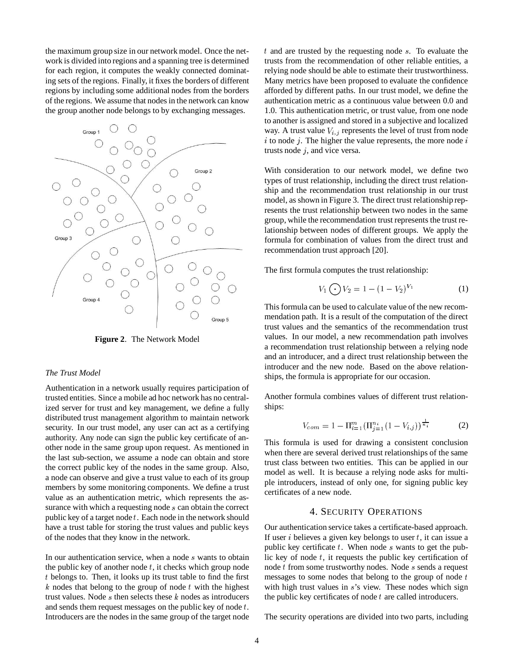the maximum group size in our network model. Once the network is divided into regions and a spanning tree is determined for each region, it computes the weakly connected dominating sets of the regions. Finally, it fixes the borders of different regions by including some additional nodes from the borders of the regions. We assume that nodes in the network can know the group another node belongs to by exchanging messages.



**Figure 2**. The Network Model

# *The Trust Model*

Authentication in a network usually requires participation of trusted entities. Since a mobile ad hoc network has no centralized server for trust and key management, we define a fully distributed trust management algorithm to maintain network security. In our trust model, any user can act as a certifying authority. Any node can sign the public key certificate of another node in the same group upon request. As mentioned in the last sub-section, we assume a node can obtain and store the correct public key of the nodes in the same group. Also, a node can observe and give a trust value to each of its group members by some monitoring components. We define a trust value as an authentication metric, which represents the assurance with which a requesting node  $s$  can obtain the correct public key of a target node  $t$ . Each node in the network should have a trust table for storing the trust values and public keys of the nodes that they know in the network.

In our authentication service, when a node  $s$  wants to obtain the public key of another node  $t$ , it checks which group node  $t$  belongs to. Then, it looks up its trust table to find the first  $k$  nodes that belong to the group of node  $t$  with the highest trust values. Node  $s$  then selects these  $k$  nodes as introducers and sends them request messages on the public key of node t. Introducers are the nodes in the same group of the target node

 $t$  and are trusted by the requesting node  $s$ . To evaluate the trusts from the recommendation of other reliable entities, a relying node should be able to estimate their trustworthiness. Many metrics have been proposed to evaluate the confidence afforded by different paths. In our trust model, we define the authentication metric as a continuous value between 0.0 and 1.0. This authentication metric, or trust value, from one node to another is assigned and stored in a subjective and localized way. A trust value  $V_{i,j}$  represents the level of trust from node i to node *j*. The higher the value represents, the more node  $i$ trusts node  $j$ , and vice versa.

With consideration to our network model, we define two types of trust relationship, including the direct trust relationship and the recommendation trust relationship in our trust model, as shown in Figure 3. The direct trust relationship represents the trust relationship between two nodes in the same group, while the recommendation trust represents the trust relationship between nodes of different groups. We apply the formula for combination of values from the direct trust and recommendation trust approach [20].

The first formula computes the trust relationship:

$$
V_1 \bigodot V_2 = 1 - (1 - V_2)^{V_1} \tag{1}
$$

This formula can be used to calculate value of the new recommendation path. It is a result of the computation of the direct trust values and the semantics of the recommendation trust values. In our model, a new recommendation path involves a recommendation trust relationship between a relying node and an introducer, and a direct trust relationship between the introducer and the new node. Based on the above relationships, the formula is appropriate for our occasion.

Another formula combines values of different trust relationships:

$$
V_{com} = 1 - \Pi_{i=1}^{m} \left( \Pi_{j=1}^{n_i} (1 - V_{i,j}) \right)^{\frac{1}{n_i}}
$$
(2)

This formula is used for drawing a consistent conclusion when there are several derived trust relationships of the same trust class between two entities. This can be applied in our model as well. It is because a relying node asks for multiple introducers, instead of only one, for signing public key certificates of a new node.

# 4. SECURITY OPERATIONS

Our authentication service takes a certificate-based approach. If user *i* believes a given key belongs to user  $t$ , it can issue a public key certificate  $t$ . When node  $s$  wants to get the public key of node  $t$ , it requests the public key certification of node t from some trustworthy nodes. Node s sends a request messages to some nodes that belong to the group of node  $t$ with high trust values in  $s$ 's view. These nodes which sign the public key certificates of node  $t$  are called introducers.

The security operations are divided into two parts, including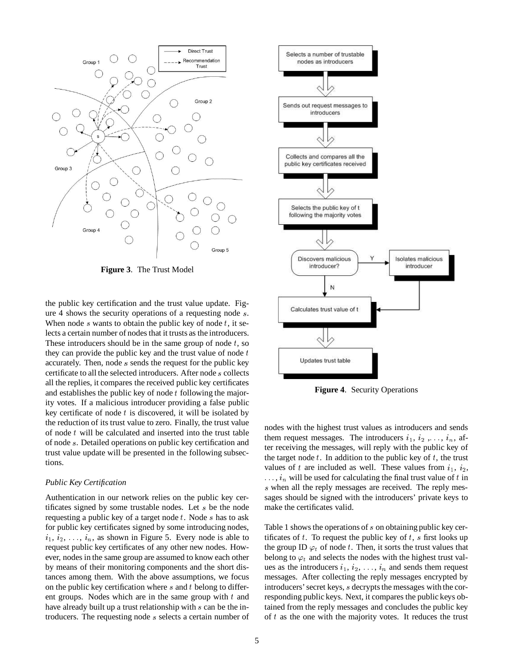

**Figure 3**. The Trust Model

the public key certification and the trust value update. Figure 4 shows the security operations of a requesting node  $s$ . When node  $s$  wants to obtain the public key of node  $t$ , it selects a certain number of nodes that it trusts as the introducers. These introducers should be in the same group of node  $t$ , so they can provide the public key and the trust value of node  $t$ accurately. Then, node  $s$  sends the request for the public key certificate to all the selected introducers. After node s collects all the replies, it compares the received public key certificates and establishes the public key of node  $t$  following the majority votes. If a malicious introducer providing a false public key certificate of node  $t$  is discovered, it will be isolated by the reduction of its trust value to zero. Finally, the trust value of node  $t$  will be calculated and inserted into the trust table of node . Detailed operations on public key certification and trust value update will be presented in the following subsections.

#### *Public Key Certification*

Authentication in our network relies on the public key certificates signed by some trustable nodes. Let  $s$  be the node requesting a public key of a target node  $t$ . Node  $s$  has to ask for public key certificates signed by some introducing nodes,  $i_1, i_2, \ldots, i_n$ , as shown in Figure 5. Every node is able to request public key certificates of any other new nodes. However, nodes in the same group are assumed to know each other by means of their monitoring components and the short distances among them. With the above assumptions, we focus on the public key certification where  $s$  and  $t$  belong to different groups. Nodes which are in the same group with  $t$  and have already built up a trust relationship with  $s$  can be the introducers. The requesting node  $s$  selects a certain number of



**Figure 4**. Security Operations

nodes with the highest trust values as introducers and sends them request messages. The introducers  $i_1, i_2, \ldots, i_n$ , after receiving the messages, will reply with the public key of the target node  $t$ . In addition to the public key of  $t$ , the trust values of t are included as well. These values from  $i_1$ ,  $i_2$ ,  $\ldots$ ,  $i_n$  will be used for calculating the final trust value of t in s when all the reply messages are received. The reply messages should be signed with the introducers' private keys to make the certificates valid.

Table 1 shows the operations of  $s$  on obtaining public key certificates of  $t$ . To request the public key of  $t$ ,  $s$  first looks up the group ID  $\varphi_t$  of node t. Then, it sorts the trust values that belong to  $\varphi_t$  and selects the nodes with the highest trust values as the introducers  $i_1, i_2, \ldots, i_n$  and sends them request messages. After collecting the reply messages encrypted by introducers' secret keys, *s* decrypts the messages with the corresponding public keys. Next, it compares the public keys obtained from the reply messages and concludes the public key of  $t$  as the one with the majority votes. It reduces the trust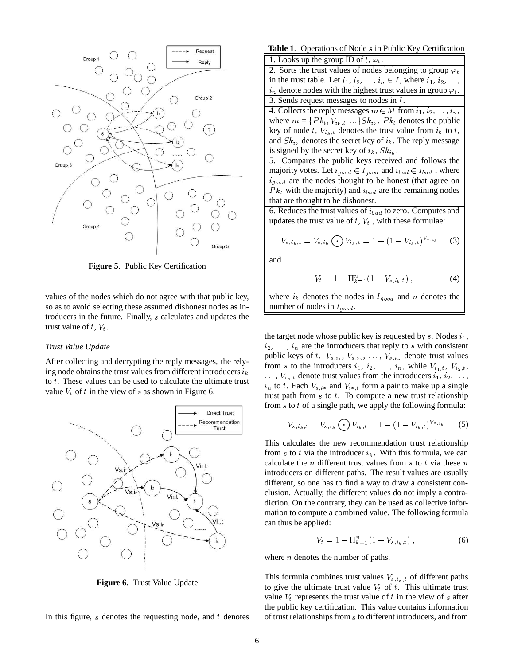

**Figure 5**. Public Key Certification

values of the nodes which do not agree with that public key, so as to avoid selecting these assumed dishonest nodes as introducers in the future. Finally, *s* calculates and updates the trust value of  $t, V_t$ .

#### *Trust Value Update*

After collecting and decrypting the reply messages, the relying node obtains the trust values from different introducers  $i_k$ to . These values can be used to calculate the ultimate trust value  $V_t$  of t in the view of s as shown in Figure 6.



**Figure 6**. Trust Value Update

In this figure,  $s$  denotes the requesting node, and  $t$  denotes

**Table 1.** Operations of Node s in Public Key Certification

1. Looks up the group ID of  $t, \varphi_t$ . 2. Sorts the trust values of nodes belonging to group  $\varphi_t$ in the trust table. Let  $i_1, i_2, \ldots, i_n \in I$ , where  $i_1, i_2, \ldots$  $i_n$  denote nodes with the highest trust values in group  $\varphi_t$ . 3. Sends request messages to nodes in . 4. Collects the reply messages  $m \in M$  from  $i_1, i_2, \ldots, i_n$ , where  $m = \{Pk_t, V_{i_k,t}, \ldots\} Sk_{i_k}$ .  $Pk_t$  denotes the public key of node t,  $V_{i_k,t}$  denotes the trust value from  $i_k$  to t, and  $Sk_{i_k}$  denotes the secret key of  $i_k$ . The reply message

is signed by the secret key of  $i_k$ ,  $Sk_{i_k}$ . 5. Compares the public keys received and follows the majority votes. Let  $i_{good} \in I_{good}$  and  $i_{bad} \in I_{bad}$ , where  $i_{good}$  are the nodes thought to be honest (that agree on  $Pk_t$  with the majority) and  $i_{bad}$  are the remaining nodes that are thought to be dishonest.

6. Reduces the trust values of  $i_{bad}$  to zero. Computes and updates the trust value of  $t$ ,  $V_t$ , with these formulae:

$$
V_{s,i_k,t} = V_{s,i_k} \bigodot V_{i_k,t} = 1 - (1 - V_{i_k,t})^{V_{s,i_k}}
$$
 (3)

and

$$
V_t = 1 - \Pi_{k=1}^n (1 - V_{s,i_k,t}), \qquad (4)
$$

where  $i_k$  denotes the nodes in  $I_{good}$  and n denotes the number of nodes in  $I_{q \circ q}$ .

the target node whose public key is requested by  $s$ . Nodes  $i_1$ ,  $i_2, \ldots, i_n$  are the introducers that reply to s with consistent public keys of t.  $V_{s,i_1}, V_{s,i_2}, \ldots, V_{s,i_n}$  denote trust values from *s* to the introducers  $i_1, i_2, \ldots, i_n$ , while  $V_{i_1,t}, V_{i_2,t}$ ,  $\ldots, V_{i_n,t}$  denote trust values from the introducers  $i_1, i_2, \ldots,$  $i_n$  to t. Each  $V_{s,i*}$  and  $V_{i*,t}$  form a pair to make up a single trust path from  $s$  to  $t$ . To compute a new trust relationship from  $s$  to  $t$  of a single path, we apply the following formula:

$$
V_{s,i_k,t} = V_{s,i_k} \bigodot V_{i_k,t} = 1 - (1 - V_{i_k,t})^{V_{s,i_k}}
$$
 (5)

This calculates the new recommendation trust relationship from s to t via the introducer  $i_k$ . With this formula, we can calculate the *n* different trust values from  $s$  to  $t$  via these  $n$ introducers on different paths. The result values are usually different, so one has to find a way to draw a consistent conclusion. Actually, the different values do not imply a contradiction. On the contrary, they can be used as collective information to compute a combined value. The following formula can thus be applied:

$$
V_t = 1 - \Pi_{k=1}^n (1 - V_{s,i_k,t}), \tag{6}
$$

where  $n$  denotes the number of paths.

This formula combines trust values  $V_{s,i_k,t}$  of different paths to give the ultimate trust value  $V_t$  of t. This ultimate trust value  $V_t$  represents the trust value of t in the view of s after the public key certification. This value contains information of trust relationships from  $s$  to different introducers, and from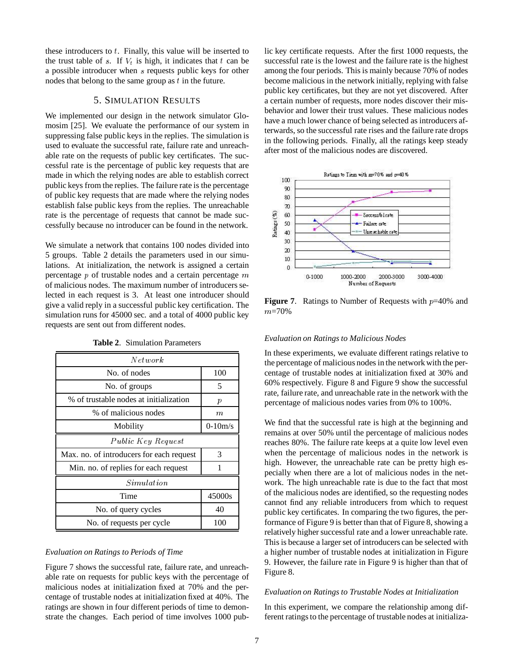these introducers to  $t$ . Finally, this value will be inserted to the trust table of s. If  $V_t$  is high, it indicates that t can be a possible introducer when  $s$  requests public keys for other nodes that belong to the same group as  $t$  in the future.

## 5. SIMULATION RESULTS

We implemented our design in the network simulator Glomosim [25]. We evaluate the performance of our system in suppressing false public keys in the replies. The simulation is used to evaluate the successful rate, failure rate and unreachable rate on the requests of public key certificates. The successful rate is the percentage of public key requests that are made in which the relying nodes are able to establish correct public keys from the replies. The failure rate is the percentage of public key requests that are made where the relying nodes establish false public keys from the replies. The unreachable rate is the percentage of requests that cannot be made successfully because no introducer can be found in the network.

We simulate a network that contains 100 nodes divided into 5 groups. Table 2 details the parameters used in our simulations. At initialization, the network is assigned a certain percentage  $p$  of trustable nodes and a certain percentage  $m$  0.1000 of malicious nodes. The maximum number of introducers selected in each request is 3. At least one introducer should give a valid reply in a successful public key certification. The simulation runs for 45000 sec. and a total of 4000 public key requests are sent out from different nodes.

| Net work                                 |                  |
|------------------------------------------|------------------|
| No. of nodes                             | 100              |
| No. of groups                            | 5                |
| % of trustable nodes at initialization   | р                |
| % of malicious nodes                     | $\boldsymbol{m}$ |
| Mobility                                 | $0-10m/s$        |
| Public Key Request                       |                  |
| Max. no. of introducers for each request | 3                |
| Min. no. of replies for each request     |                  |
| Simulation                               |                  |
| Time                                     | 45000s           |
| No. of query cycles                      | 40               |
| No. of requests per cycle                | 100              |

**Table 2**. Simulation Parameters

## *Evaluation on Ratings to Periods of Time*

Figure 7 shows the successful rate, failure rate, and unreachable rate on requests for public keys with the percentage of malicious nodes at initialization fixed at 70% and the percentage of trustable nodes at initialization fixed at 40%. The ratings are shown in four different periods of time to demonstrate the changes. Each period of time involves 1000 public key certificate requests. After the first 1000 requests, the successful rate is the lowest and the failure rate is the highest among the four periods. This is mainly because 70% of nodes become malicious in the network initially, replying with false public key certificates, but they are not yet discovered. After a certain number of requests, more nodes discover their misbehavior and lower their trust values. These malicious nodes have a much lower chance of being selected as introducers afterwards, so the successful rate rises and the failure rate drops in the following periods. Finally, all the ratings keep steady after most of the malicious nodes are discovered.



**Figure** 7. Ratings to Number of Requests with  $p=40\%$  and  $m = 70%$ 

## *Evaluation on Ratings to Malicious Nodes*

In these experiments, we evaluate different ratings relative to the percentage of malicious nodes in the network with the percentage of trustable nodes at initialization fixed at 30% and 60% respectively. Figure 8 and Figure 9 show the successful rate, failure rate, and unreachable rate in the network with the percentage of malicious nodes varies from 0% to 100%.

We find that the successful rate is high at the beginning and remains at over 50% until the percentage of malicious nodes reaches 80%. The failure rate keeps at a quite low level even when the percentage of malicious nodes in the network is high. However, the unreachable rate can be pretty high especially when there are a lot of malicious nodes in the network. The high unreachable rate is due to the fact that most of the malicious nodes are identified, so the requesting nodes cannot find any reliable introducers from which to request public key certificates. In comparing the two figures, the performance of Figure 9 is better than that of Figure 8, showing a relatively higher successful rate and a lower unreachable rate. This is because a larger set of introducers can be selected with a higher number of trustable nodes at initialization in Figure 9. However, the failure rate in Figure 9 is higher than that of Figure 8.

#### *Evaluation on Ratings to Trustable Nodes at Initialization*

In this experiment, we compare the relationship among different ratings to the percentage of trustable nodes at initializa-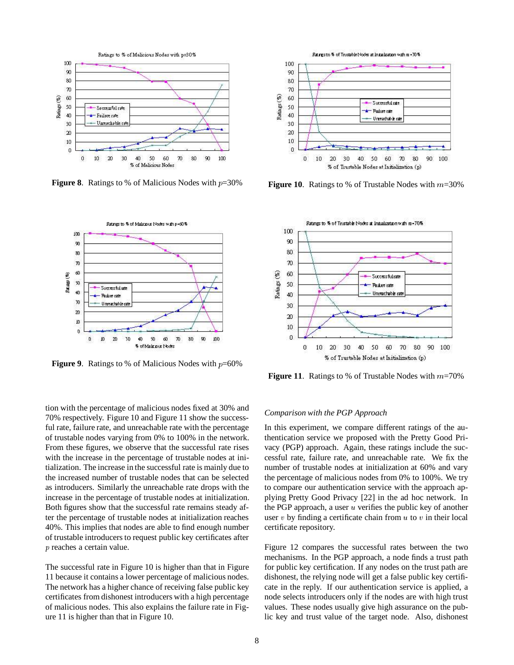

**Figure 8.** Ratings to % of Malicious Nodes with  $p=30%$ 



**Figure 9.** Ratings to % of Malicious Nodes with  $p=60\%$ 

tion with the percentage of malicious nodes fixed at 30% and 70% respectively. Figure 10 and Figure 11 show the successful rate, failure rate, and unreachable rate with the percentage of trustable nodes varying from 0% to 100% in the network. From these figures, we observe that the successful rate rises with the increase in the percentage of trustable nodes at initialization. The increase in the successful rate is mainly due to the increased number of trustable nodes that can be selected as introducers. Similarly the unreachable rate drops with the increase in the percentage of trustable nodes at initialization. Both figures show that the successful rate remains steady after the percentage of trustable nodes at initialization reaches 40%. This implies that nodes are able to find enough number of trustable introducers to request public key certificates after  $p$  reaches a certain value.

The successful rate in Figure 10 is higher than that in Figure 11 because it contains a lower percentage of malicious nodes. The network has a higher chance of receiving false public key certificates from dishonest introducers with a high percentage of malicious nodes. This also explains the failure rate in Figure 11 is higher than that in Figure 10.



**Figure 10.** Ratings to % of Trustable Nodes with  $m=30\%$ 



**Figure 11.** Ratings to % of Trustable Nodes with  $m=70\%$ 

#### *Comparison with the PGP Approach*

In this experiment, we compare different ratings of the authentication service we proposed with the Pretty Good Privacy (PGP) approach. Again, these ratings include the successful rate, failure rate, and unreachable rate. We fix the number of trustable nodes at initialization at 60% and vary the percentage of malicious nodes from 0% to 100%. We try to compare our authentication service with the approach applying Pretty Good Privacy [22] in the ad hoc network. In the PGP approach, a user  $u$  verifies the public key of another user  $v$  by finding a certificate chain from  $u$  to  $v$  in their local certificate repository.

Figure 12 compares the successful rates between the two mechanisms. In the PGP approach, a node finds a trust path for public key certification. If any nodes on the trust path are dishonest, the relying node will get a false public key certificate in the reply. If our authentication service is applied, a node selects introducers only if the nodes are with high trust values. These nodes usually give high assurance on the public key and trust value of the target node. Also, dishonest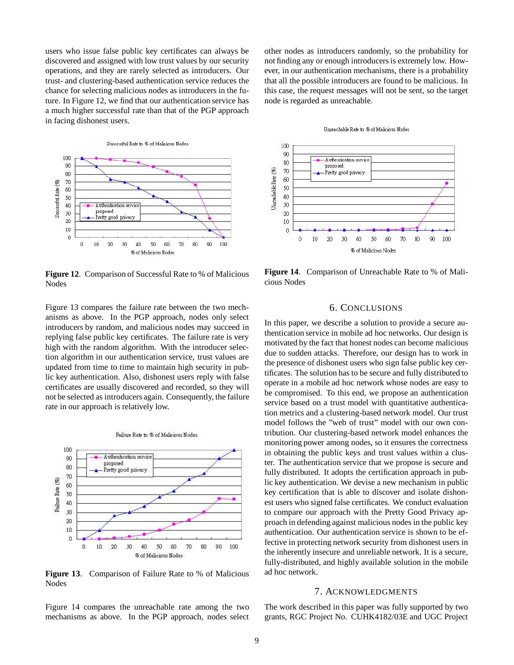users who issue false public key certificates can always be discovered and assigned with low trust values by our security operations, and they are rarely selected as introducers. Our trust- and clustering-based authentication service reduces the chance for selecting malicious nodes as introducers in the future. In Figure 12, we find that our authentication service has a much higher successful rate than that of the PGP approach in facing dishonest users.



**Figure 12**. Comparison of Successful Rate to % of Malicious Nodes

Figure 13 compares the failure rate between the two mechanisms as above. In the PGP approach, nodes only select introducers by random, and malicious nodes may succeed in replying false public key certificates. The failure rate is very high with the random algorithm. With the introducer selection algorithm in our authentication service, trust values are updated from time to time to maintain high security in public key authentication. Also, dishonest users reply with false certificates are usually discovered and recorded, so they will not be selected as introducers again. Consequently, the failure rate in our approach is relatively low.



Failure Rate to % of Malicious Nodes

**Figure 13**. Comparison of Failure Rate to % of Malicious Nodes

Figure 14 compares the unreachable rate among the two mechanisms as above. In the PGP approach, nodes select other nodes as introducers randomly, so the probability for not finding any or enough introducersis extremely low. However, in our authentication mechanisms, there is a probability that all the possible introducers are found to be malicious. In this case, the request messages will not be sent, so the target node is regarded as unreachable.





**Figure 14**. Comparison of Unreachable Rate to % of Malicious Nodes

# 6. CONCLUSIONS

In this paper, we describe a solution to provide a secure authentication service in mobile ad hoc networks. Our design is motivated by the fact that honest nodes can become malicious due to sudden attacks. Therefore, our design has to work in the presence of dishonest users who sign false public key certificates. The solution has to be secure and fully distributed to operate in a mobile ad hoc network whose nodes are easy to be compromised. To this end, we propose an authentication service based on a trust model with quantitative authentication metrics and a clustering-based network model. Our trust model follows the "web of trust" model with our own contribution. Our clustering-based network model enhances the monitoring power among nodes, so it ensures the correctness in obtaining the public keys and trust values within a cluster. The authentication service that we propose is secure and fully distributed. It adopts the certification approach in public key authentication. We devise a new mechanism in public key certification that is able to discover and isolate dishonest users who signed false certificates. We conduct evaluation to compare our approach with the Pretty Good Privacy approach in defending against malicious nodes in the public key authentication. Our authentication service is shown to be effective in protecting network security from dishonest users in the inherently insecure and unreliable network. It is a secure, fully-distributed, and highly available solution in the mobile ad hoc network.

## 7. ACKNOWLEDGMENTS

The work described in this paper was fully supported by two grants, RGC Project No. CUHK4182/03E and UGC Project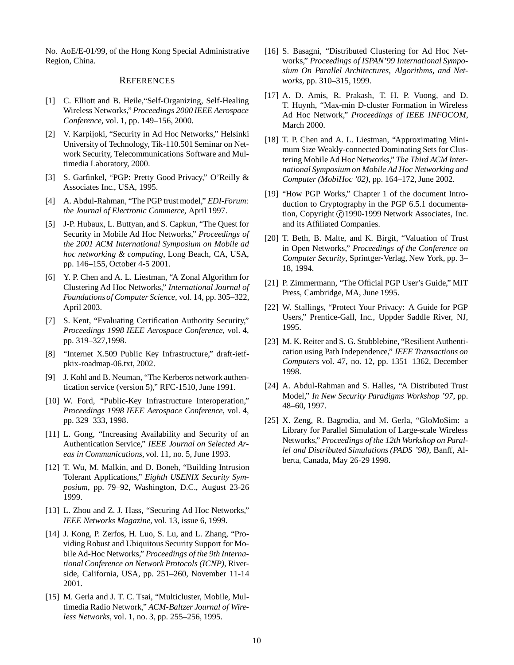No. AoE/E-01/99, of the Hong Kong Special Administrative Region, China.

## **REFERENCES**

- [1] C. Elliott and B. Heile, "Self-Organizing, Self-Healing Wireless Networks," *Proceedings 2000 IEEE Aerospace Conference*, vol. 1, pp. 149–156, 2000.
- [2] V. Karpijoki, "Security in Ad Hoc Networks," Helsinki University of Technology, Tik-110.501 Seminar on Network Security, Telecommunications Software and Multimedia Laboratory, 2000.
- [3] S. Garfinkel, "PGP: Pretty Good Privacy," O'Reilly & Associates Inc., USA, 1995.
- [4] A. Abdul-Rahman, "The PGP trustmodel," *EDI-Forum: the Journal of Electronic Commerce*, April 1997.
- [5] J-P. Hubaux, L. Buttyan, and S. Capkun, "The Quest for Security in Mobile Ad Hoc Networks," *Proceedings of the 2001 ACM International Symposium on Mobile ad hoc networking & computing*, Long Beach, CA, USA, pp. 146–155, October 4-5 2001.
- [6] Y. P. Chen and A. L. Liestman, "A Zonal Algorithm for Clustering Ad Hoc Networks," *International Journal of Foundations of Computer Science*, vol. 14, pp. 305–322, April 2003.
- [7] S. Kent, "Evaluating Certification Authority Security," *Proceedings 1998 IEEE Aerospace Conference*, vol. 4, pp. 319–327,1998.
- [8] "Internet X.509 Public Key Infrastructure," draft-ietfpkix-roadmap-06.txt, 2002.
- [9] J. Kohl and B. Neuman, "The Kerberos network authentication service (version 5)," RFC-1510, June 1991.
- [10] W. Ford, "Public-Key Infrastructure Interoperation," *Proceedings 1998 IEEE Aerospace Conference*, vol. 4, pp. 329–333, 1998.
- [11] L. Gong, "Increasing Availability and Security of an Authentication Service," *IEEE Journal on Selected Areas in Communications*, vol. 11, no. 5, June 1993.
- [12] T. Wu, M. Malkin, and D. Boneh, "Building Intrusion Tolerant Applications," *Eighth USENIX Security Symposium*, pp. 79–92, Washington, D.C., August 23-26 1999.
- [13] L. Zhou and Z. J. Hass, "Securing Ad Hoc Networks," *IEEE Networks Magazine*, vol. 13, issue 6, 1999.
- [14] J. Kong, P. Zerfos, H. Luo, S. Lu, and L. Zhang, "Providing Robust and Ubiquitous Security Support for Mobile Ad-Hoc Networks," *Proceedings of the 9th International Conference on Network Protocols (ICNP)*, Riverside, California, USA, pp. 251–260, November 11-14 2001.
- [15] M. Gerla and J. T. C. Tsai, "Multicluster, Mobile, Multimedia Radio Network," *ACM-Baltzer Journal of Wireless Networks*, vol. 1, no. 3, pp. 255–256, 1995.
- [16] S. Basagni, "Distributed Clustering for Ad Hoc Networks," *Proceedings of ISPAN'99 International Symposium On Parallel Architectures, Algorithms, and Networks*, pp. 310–315, 1999.
- [17] A. D. Amis, R. Prakash, T. H. P. Vuong, and D. T. Huynh, "Max-min D-cluster Formation in Wireless Ad Hoc Network," *Proceedings of IEEE INFOCOM*, March 2000.
- [18] T. P. Chen and A. L. Liestman, "Approximating Minimum Size Weakly-connected Dominating Sets for Clustering Mobile Ad Hoc Networks," *The Third ACM International Symposium on Mobile Ad Hoc Networking and Computer (MobiHoc '02)*, pp. 164–172, June 2002.
- [19] "How PGP Works," Chapter 1 of the document Introduction to Cryptography in the PGP 6.5.1 documentation, Copyright ©1990-1999 Network Associates, Inc. and its Affiliated Companies.
- [20] T. Beth, B. Malte, and K. Birgit, "Valuation of Trust in Open Networks," *Proceedings of the Conference on Computer Security*, Sprintger-Verlag, New York, pp. 3– 18, 1994.
- [21] P. Zimmermann, "The Official PGP User's Guide," MIT Press, Cambridge, MA, June 1995.
- [22] W. Stallings, "Protect Your Privacy: A Guide for PGP Users," Prentice-Gall, Inc., Uppder Saddle River, NJ, 1995.
- [23] M. K. Reiter and S. G. Stubblebine, "Resilient Authentication using Path Independence," *IEEE Transactions on Computers* vol. 47, no. 12, pp. 1351–1362, December 1998.
- [24] A. Abdul-Rahman and S. Halles, "A Distributed Trust" Model," *In New Security Paradigms Workshop '97*, pp. 48–60, 1997.
- [25] X. Zeng, R. Bagrodia, and M. Gerla, "GloMoSim: a Library for Parallel Simulation of Large-scale Wireless Networks," *Proceedings of the 12th Workshop on Parallel and Distributed Simulations (PADS '98)*, Banff, Alberta, Canada, May 26-29 1998.